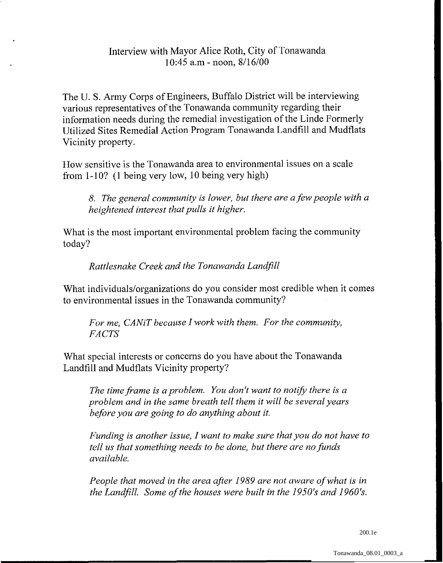## Interview with Mayor Alice Roth, City of Tonawanda 10:45 a.m - noon, 8/16/00

The U. S. Army Corps of Engineers, Buffalo District will be interviewing various representatives of the Tonawanda community regarding their information needs during the remedial investigation of the Linde Formerly Utilized Sites Remedial Action Program Tonawanda Landfill and Mudflats Vicinity property.

How sensitive is the Tonawanda area to environmental issues on a scale from 1-10? (1 being very low, 10 being very high)

*8. The general community is lower, but there are a few people with a heightened interest that pulls it higher.* 

What is the most important environmental problem facing the community today?

*Rattlesnake Creek and the Tonawanda LandJill* 

What **individuals/organizations** do you consider most credible when it comes to environmental issues in the Tonawanda community?

*For me, CANiT because I work with them. For the community, FACTS* 

What special interests or concerns do you have about the Tonawanda Landfill and Mudflats Vicinity property?

*The time frame is aproblem. You don't want to notify there is a problem and in the same breath tell them it will be several years before you are going to do anything about it.* 

*Funding is another issue, I want to make sure that you do not have to tell us that something needs to be done, but there are no funds available.* 

*People that moved in the area after 1989 are not aware of what is in the Landfill. Some of the houses were built in the 1950's and 1960's.* 

200.1e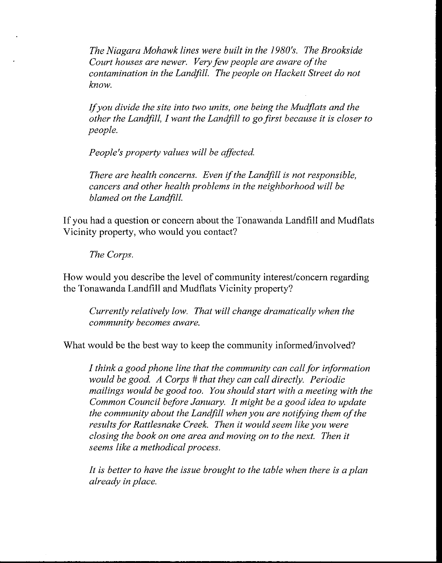*The Niagara Mohawk lines were built in the 1980's. The Brookside Court houses are newer. Very few people are aware of the contamination in the Landfill. The people on Hackett Street do not know.* 

*Ifyou divide the site into two units, one being the Mudflats and the other the Landfill, I want the Landfill to go first because it is closer to people.* 

*People's property values will be affected.* 

*There are health concerns. Even ifthe Landfill is not responsible, cancers and other health problems in the neighborhood will be blamed on the Landfill.* 

If you had a question or concern about the Tonawanda Landfill and Mudflats Vicinity property, who would you contact?

*The Corps.* 

How would you describe the level of community interest/concern regarding the Tonawanda Landfill and Mudflats Vicinity property?

*Currently relatively low. That will change dramatically when the community becomes aware.* 

What would be the best way to keep the community informed/involved?

*I think a good phone line that the community can call for information would be good. A Corps* # *that they can call directly. Periodic mailings would be good too. You should start with a meeting with the Common Council before January. It might be a good idea to update the community about the Landfill when you are notifying them of the*  results for Rattlesnake Creek. Then it would seem like you were *closing the book on one area and moving on to the next. Then it seems like a methodical process.* 

*It is better to have the issue brought to the table when there is a plan already in place.*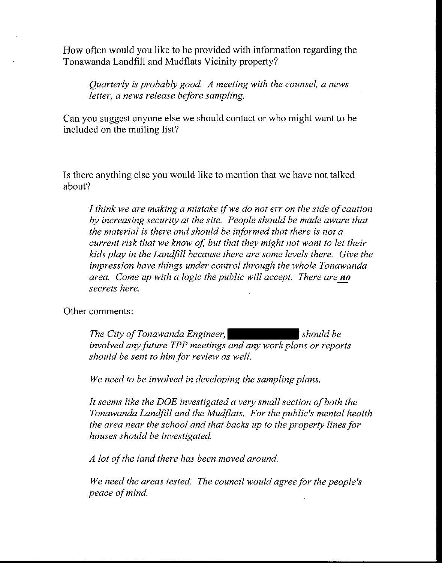How often would you like to be provided with information regarding the Tonawanda Landfill and Mudflats Vicinity property?

*Quarterly is probably good. A meeting with the counsel, a news letter, a news release before sampling.* 

Can you suggest anyone else we should contact or who might want to be included on the mailing list?

Is there anything else you would like to mention that we have not talked about?

*I think we are making a mistake ifwe do not err on the side of caution by increasing security at the site. People should be made aware that the material is there and should be informed that there is not a current risk that we know of, but that they might not want to let their kids play in the Landfill because there are some levels there. Give the impression have things under control through the whole Tonawanda kids play in the Landfill because there are some levels there. Give* impression have things under control through the whole Tonawana<br>area. Come up with a logic the public will accept. There are no *secrets here.* 

Other comments:

*The City of Tonawanda Engineer,* should be *involved any future TPP meetings and any work plans or reports should be sent to him for review as well.* 

*We need to be involved in developing the sampling plans.* 

*It seems like the DOE investigated a very small section of both the Tonawanda Landfill and the Mudjlats. For the public's mental health the area near the school and that backs up to the property lines for houses should be investigated.* 

*A lot of the land there has been moved around.* 

*We need the areas tested. The council would agree for the people's peace ofmind.*